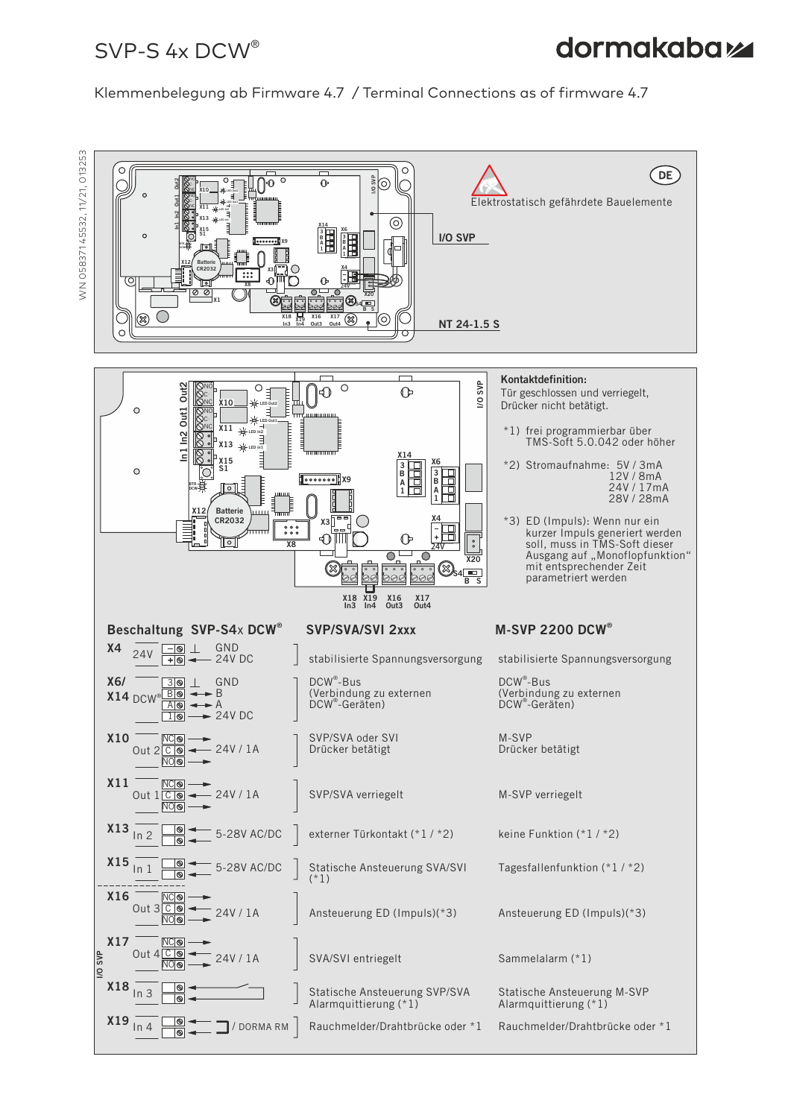## $SVP-S$  4x DCW<sup>®</sup>

# **dormakabazz**

Klemmenbelegung ab Firmware 4.7 / Terminal Connections as of firmware 4.7



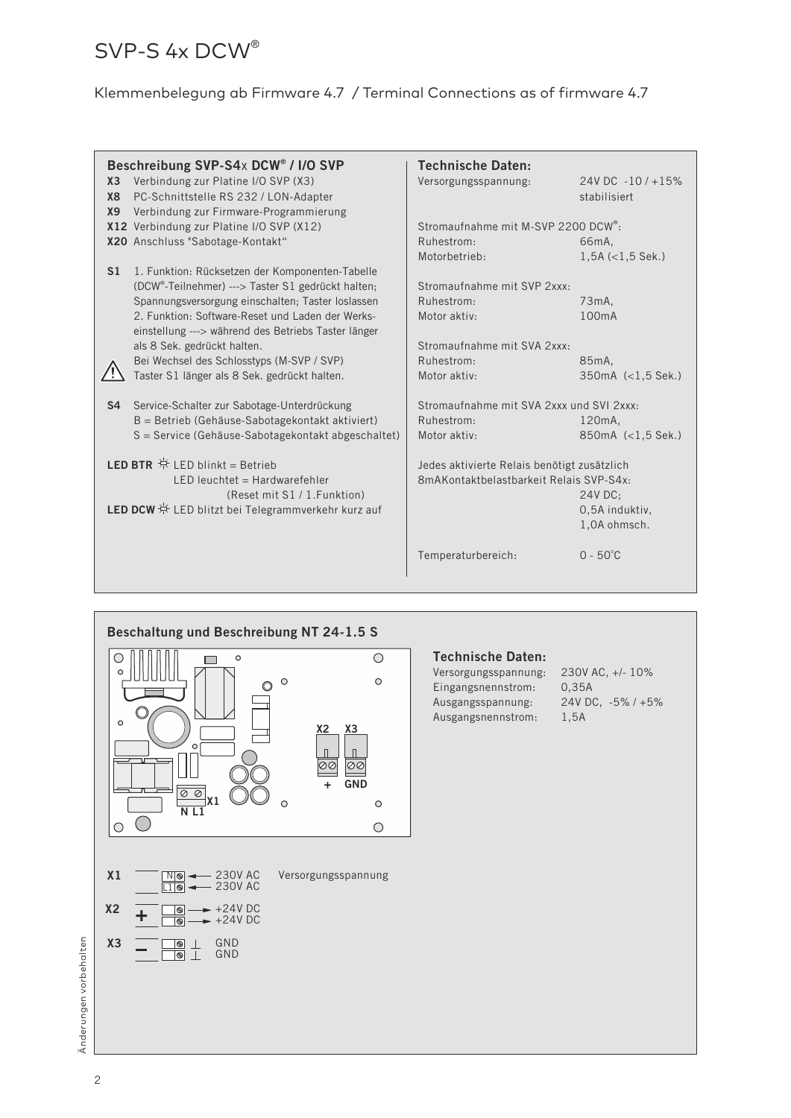# SVP-S 4x DCW®

### Klemmenbelegung ab Firmware 4.7 / Terminal Connections as of firmware 4.7

| Beschreibung SVP-S4x DCW® / I/O SVP<br><b>Technische Daten:</b> |                                                                |                                                                                        |                       |  |
|-----------------------------------------------------------------|----------------------------------------------------------------|----------------------------------------------------------------------------------------|-----------------------|--|
| X <sub>3</sub>                                                  | Verbindung zur Platine I/O SVP (X3)                            | Versorgungsspannung:                                                                   | 24V DC -10/+15%       |  |
| <b>X8</b>                                                       | PC-Schnittstelle RS 232 / LON-Adapter                          |                                                                                        | stabilisiert          |  |
| <b>X9</b>                                                       | Verbindung zur Firmware-Programmierung                         |                                                                                        |                       |  |
|                                                                 | X12 Verbindung zur Platine I/O SVP (X12)                       | Stromaufnahme mit M-SVP 2200 DCW <sup>®</sup> :                                        |                       |  |
|                                                                 |                                                                |                                                                                        |                       |  |
|                                                                 | X20 Anschluss "Sabotage-Kontakt"                               | Ruhestrom:                                                                             | 66 <sub>m</sub> A,    |  |
|                                                                 |                                                                | Motorbetrieb:                                                                          | $1,5A (<1,5$ Sek.)    |  |
| S <sub>1</sub>                                                  | 1. Funktion: Rücksetzen der Komponenten-Tabelle                |                                                                                        |                       |  |
|                                                                 | (DCW <sup>®</sup> -Teilnehmer) ---> Taster S1 gedrückt halten; | Stromaufnahme mit SVP 2xxx:                                                            |                       |  |
|                                                                 | Spannungsversorgung einschalten; Taster loslassen              | Ruhestrom:                                                                             | 73 <sub>m</sub> A,    |  |
|                                                                 | 2. Funktion: Software-Reset und Laden der Werks-               | Motor aktiv:                                                                           | 100mA                 |  |
|                                                                 | einstellung ---> während des Betriebs Taster länger            |                                                                                        |                       |  |
|                                                                 | als 8 Sek. gedrückt halten.                                    | Stromaufnahme mit SVA 2xxx:                                                            |                       |  |
|                                                                 | Bei Wechsel des Schlosstyps (M-SVP / SVP)                      | Ruhestrom:                                                                             | 85mA,                 |  |
|                                                                 |                                                                |                                                                                        |                       |  |
|                                                                 | Taster S1 länger als 8 Sek. gedrückt halten.                   | Motor aktiv:                                                                           | $350mA$ $(<1.5$ Sek.) |  |
| S <sub>4</sub>                                                  | Service-Schalter zur Sabotage-Unterdrückung                    | Stromaufnahme mit SVA 2xxx und SVI 2xxx:                                               |                       |  |
|                                                                 | $B =$ Betrieb (Gehäuse-Sabotagekontakt aktiviert)              | Ruhestrom:                                                                             | 120mA.                |  |
|                                                                 | S = Service (Gehäuse-Sabotagekontakt abgeschaltet)             | Motor aktiv:                                                                           | 850mA (<1.5 Sek.)     |  |
|                                                                 |                                                                |                                                                                        |                       |  |
| <b>LED BTR</b> $\#$ LED blinkt = Betrieb                        |                                                                |                                                                                        |                       |  |
|                                                                 |                                                                | Jedes aktivierte Relais benötigt zusätzlich<br>8mAKontaktbelastbarkeit Relais SVP-S4x: |                       |  |
| $LED$ leuchtet = Hardwarefehler                                 |                                                                |                                                                                        |                       |  |
|                                                                 | (Reset mit S1 / 1. Funktion)                                   |                                                                                        | 24V DC:               |  |
| LED DCW $*$ LED blitzt bei Telegrammverkehr kurz auf            |                                                                |                                                                                        | 0,5A induktiv,        |  |
|                                                                 |                                                                |                                                                                        | 1,0A ohmsch.          |  |
|                                                                 |                                                                |                                                                                        |                       |  |
|                                                                 |                                                                | Temperaturbereich:                                                                     | $0 - 50^{\circ}$ C    |  |
|                                                                 |                                                                |                                                                                        |                       |  |
|                                                                 |                                                                |                                                                                        |                       |  |



#### **Technische Daten:**

| Versorgungsspannung: | 230V AC, +/- 10%        |
|----------------------|-------------------------|
| Eingangsnennstrom:   | 0.35A                   |
| Ausgangsspannung:    | 24V DC. $-5\%$ / $+5\%$ |
| Ausgangsnennstrom:   | 1.5A                    |

Änderungen vorbehalten Änderungen vorbehalten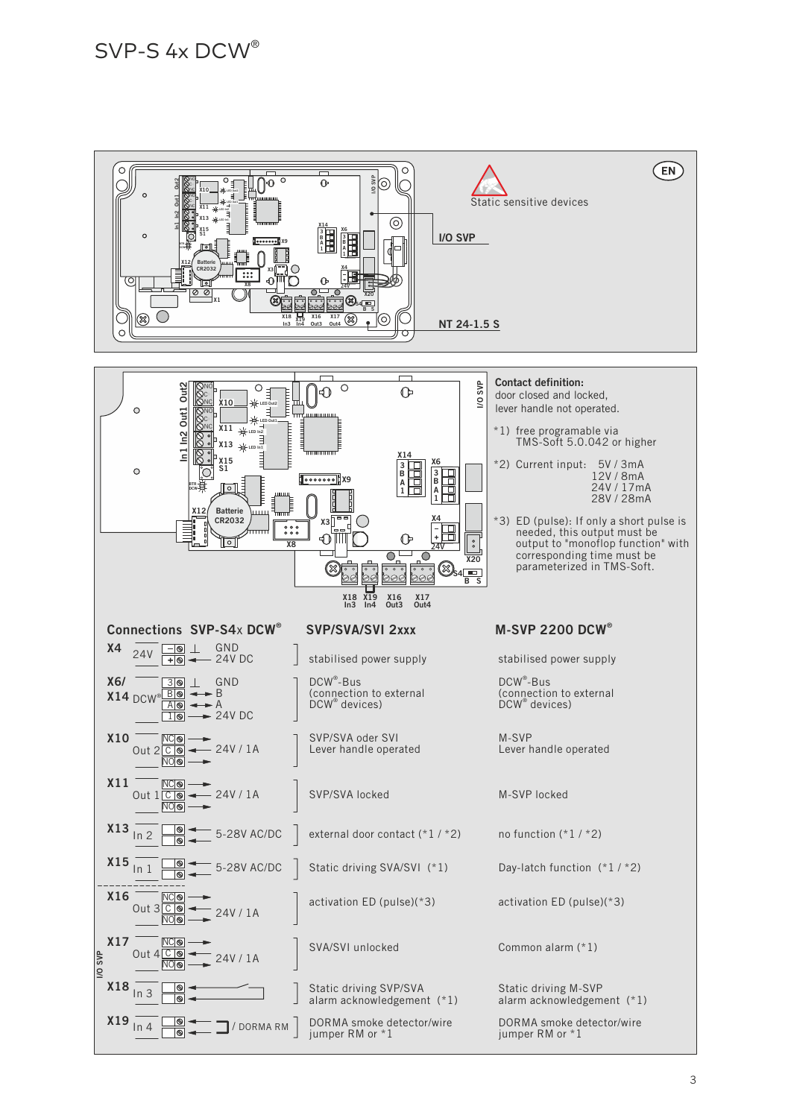### SVP-S 4x DCW®